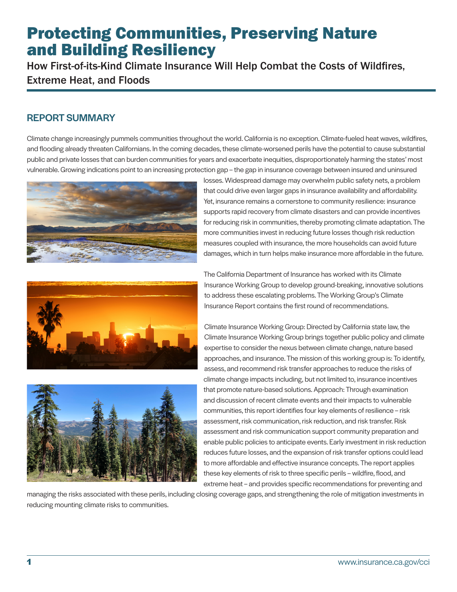# Protecting Communities, Preserving Nature and Building Resiliency

How First-of-its-Kind Climate Insurance Will Help Combat the Costs of Wildfires, Extreme Heat, and Floods

# REPORT SUMMARY

Climate change increasingly pummels communities throughout the world. California is no exception. Climate-fueled heat waves, wildfires, and flooding already threaten Californians. In the coming decades, these climate-worsened perils have the potential to cause substantial public and private losses that can burden communities for years and exacerbate inequities, disproportionately harming the states' most vulnerable. Growing indications point to an increasing protection gap – the gap in insurance coverage between insured and uninsured







losses. Widespread damage may overwhelm public safety nets, a problem that could drive even larger gaps in insurance availability and affordability. Yet, insurance remains a cornerstone to community resilience: insurance supports rapid recovery from climate disasters and can provide incentives for reducing risk in communities, thereby promoting climate adaptation. The more communities invest in reducing future losses though risk reduction measures coupled with insurance, the more households can avoid future damages, which in turn helps make insurance more affordable in the future.

The California Department of Insurance has worked with its Climate Insurance Working Group to develop ground-breaking, innovative solutions to address these escalating problems. The Working Group's Climate Insurance Report contains the first round of recommendations.

Climate Insurance Working Group: Directed by California state law, the Climate Insurance Working Group brings together public policy and climate expertise to consider the nexus between climate change, nature based approaches, and insurance. The mission of this working group is: To identify, assess, and recommend risk transfer approaches to reduce the risks of climate change impacts including, but not limited to, insurance incentives that promote nature-based solutions. Approach: Through examination and discussion of recent climate events and their impacts to vulnerable communities, this report identifies four key elements of resilience – risk assessment, risk communication, risk reduction, and risk transfer. Risk assessment and risk communication support community preparation and enable public policies to anticipate events. Early investment in risk reduction reduces future losses, and the expansion of risk transfer options could lead to more affordable and effective insurance concepts. The report applies these key elements of risk to three specific perils – wildfire, flood, and extreme heat – and provides specific recommendations for preventing and

managing the risks associated with these perils, including closing coverage gaps, and strengthening the role of mitigation investments in reducing mounting climate risks to communities.